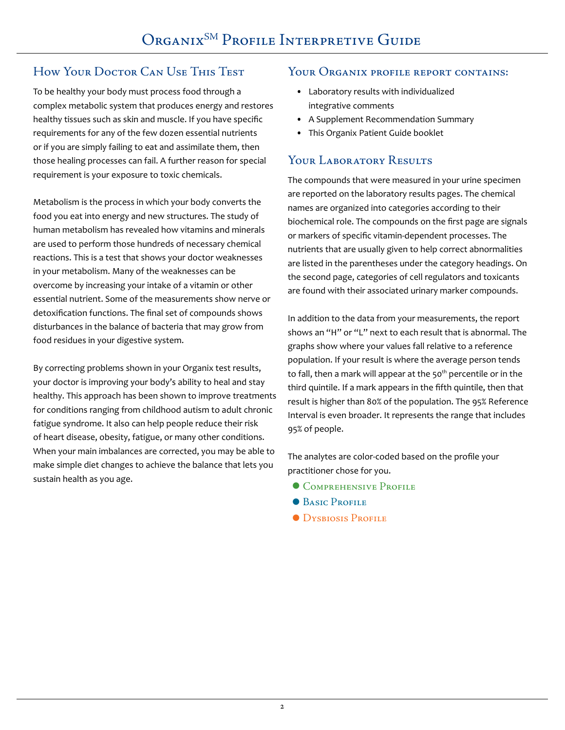# How Your Doctor Can Use This Test

To be healthy your body must process food through a complex metabolic system that produces energy and restores healthy tissues such as skin and muscle. If you have specific requirements for any of the few dozen essential nutrients or if you are simply failing to eat and assimilate them, then those healing processes can fail. A further reason for special requirement is your exposure to toxic chemicals.

Metabolism is the process in which your body converts the food you eat into energy and new structures. The study of human metabolism has revealed how vitamins and minerals are used to perform those hundreds of necessary chemical reactions. This is a test that shows your doctor weaknesses in your metabolism. Many of the weaknesses can be overcome by increasing your intake of a vitamin or other essential nutrient. Some of the measurements show nerve or detoxification functions. The final set of compounds shows disturbances in the balance of bacteria that may grow from food residues in your digestive system.

By correcting problems shown in your Organix test results, your doctor is improving your body's ability to heal and stay healthy. This approach has been shown to improve treatments for conditions ranging from childhood autism to adult chronic fatigue syndrome. It also can help people reduce their risk of heart disease, obesity, fatigue, or many other conditions. When your main imbalances are corrected, you may be able to make simple diet changes to achieve the balance that lets you sustain health as you age.

#### YOUR ORGANIX PROFILE REPORT CONTAINS:

- Laboratory results with individualized integrative comments
- A Supplement Recommendation Summary
- This Organix Patient Guide booklet

# YOUR LABORATORY RESULTS

The compounds that were measured in your urine specimen are reported on the laboratory results pages. The chemical names are organized into categories according to their biochemical role. The compounds on the first page are signals or markers of specific vitamin-dependent processes. The nutrients that are usually given to help correct abnormalities are listed in the parentheses under the category headings. On the second page, categories of cell regulators and toxicants are found with their associated urinary marker compounds.

In addition to the data from your measurements, the report shows an "H" or "L" next to each result that is abnormal. The graphs show where your values fall relative to a reference population. If your result is where the average person tends to fall, then a mark will appear at the  $50<sup>th</sup>$  percentile or in the third quintile. If a mark appears in the fifth quintile, then that result is higher than 80% of the population. The 95% Reference Interval is even broader. It represents the range that includes 95% of people.

The analytes are color-coded based on the profile your practitioner chose for you.

- **COMPREHENSIVE PROFILE**
- **BASIC PROFILE**
- **DYSBIOSIS PROFILE**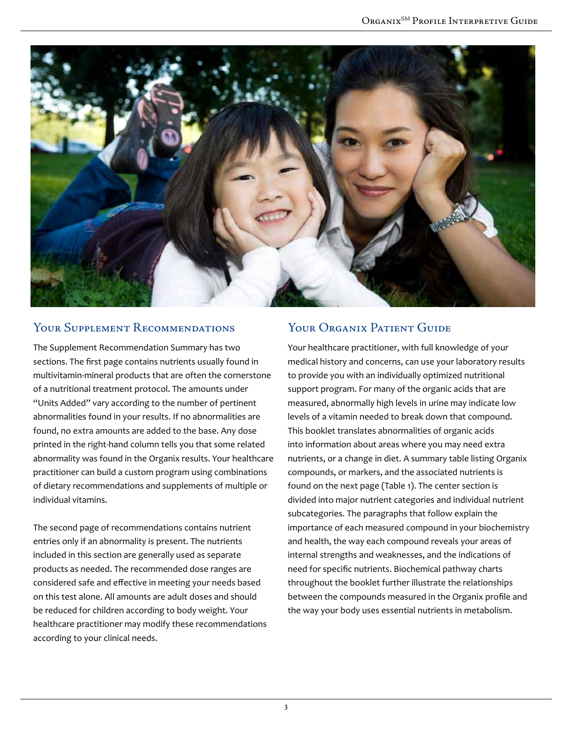

#### Your Supplement Recommendations

The Supplement Recommendation Summary has two sections. The first page contains nutrients usually found in multivitamin-mineral products that are often the cornerstone of a nutritional treatment protocol. The amounts under "Units Added" vary according to the number of pertinent abnormalities found in your results. If no abnormalities are found, no extra amounts are added to the base. Any dose printed in the right-hand column tells you that some related abnormality was found in the Organix results. Your healthcare practitioner can build a custom program using combinations of dietary recommendations and supplements of multiple or individual vitamins.

The second page of recommendations contains nutrient entries only if an abnormality is present. The nutrients included in this section are generally used as separate products as needed. The recommended dose ranges are considered safe and effective in meeting your needs based on this test alone. All amounts are adult doses and should be reduced for children according to body weight. Your healthcare practitioner may modify these recommendations according to your clinical needs.

### YOUR ORGANIX PATIENT GUIDE

Your healthcare practitioner, with full knowledge of your medical history and concerns, can use your laboratory results to provide you with an individually optimized nutritional support program. For many of the organic acids that are measured, abnormally high levels in urine may indicate low levels of a vitamin needed to break down that compound. This booklet translates abnormalities of organic acids into information about areas where you may need extra nutrients, or a change in diet. A summary table listing Organix compounds, or markers, and the associated nutrients is found on the next page (Table 1). The center section is divided into major nutrient categories and individual nutrient subcategories. The paragraphs that follow explain the importance of each measured compound in your biochemistry and health, the way each compound reveals your areas of internal strengths and weaknesses, and the indications of need for specific nutrients. Biochemical pathway charts throughout the booklet further illustrate the relationships between the compounds measured in the Organix profile and the way your body uses essential nutrients in metabolism.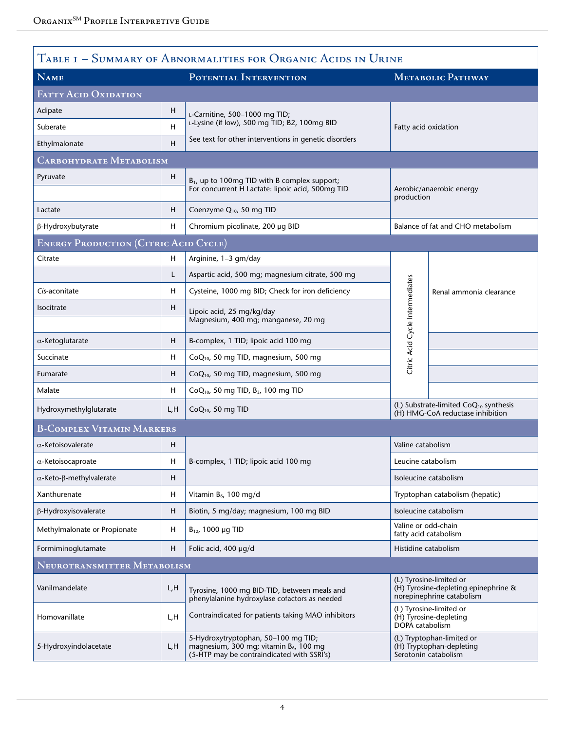|                                              |     | Table 1 – Summary of Abnormalities for Organic Acids in Urine                                                                           |                                 |                                                                                              |  |
|----------------------------------------------|-----|-----------------------------------------------------------------------------------------------------------------------------------------|---------------------------------|----------------------------------------------------------------------------------------------|--|
| <b>NAME</b>                                  |     | POTENTIAL INTERVENTION                                                                                                                  |                                 | METABOLIC PATHWAY                                                                            |  |
| <b>FATTY ACID OXIDATION</b>                  |     |                                                                                                                                         |                                 |                                                                                              |  |
| Adipate                                      | H   | L-Carnitine, 500-1000 mg TID;                                                                                                           |                                 |                                                                                              |  |
| Suberate                                     | H   | L-Lysine (if low), 500 mg TID; B2, 100mg BID                                                                                            |                                 | Fatty acid oxidation                                                                         |  |
| Ethylmalonate                                | H   | See text for other interventions in genetic disorders                                                                                   |                                 |                                                                                              |  |
| CARBOHYDRATE METABOLISM                      |     |                                                                                                                                         |                                 |                                                                                              |  |
| Pyruvate                                     | H   | B <sub>1</sub> , up to 100mg TID with B complex support;<br>For concurrent H Lactate: lipoic acid, 500mg TID                            |                                 | Aerobic/anaerobic energy<br>production<br>Balance of fat and CHO metabolism                  |  |
| Lactate                                      | H   | Coenzyme Q <sub>10</sub> , 50 mg TID                                                                                                    |                                 |                                                                                              |  |
| β-Hydroxybutyrate                            | н   | Chromium picolinate, 200 µg BID                                                                                                         |                                 |                                                                                              |  |
| <b>ENERGY PRODUCTION (CITRIC ACID CYCLE)</b> |     |                                                                                                                                         |                                 |                                                                                              |  |
| Citrate                                      | H   | Arginine, 1-3 gm/day                                                                                                                    |                                 |                                                                                              |  |
|                                              | L   | Aspartic acid, 500 mg; magnesium citrate, 500 mg                                                                                        |                                 |                                                                                              |  |
| Cis-aconitate                                | H   | Cysteine, 1000 mg BID; Check for iron deficiency                                                                                        |                                 | Renal ammonia clearance                                                                      |  |
| Isocitrate                                   | H   | Lipoic acid, 25 mg/kg/day<br>Magnesium, 400 mg; manganese, 20 mg                                                                        | Citric Acid Cycle Intermediates |                                                                                              |  |
| $\alpha$ -Ketoglutarate                      | н   | B-complex, 1 TID; lipoic acid 100 mg                                                                                                    |                                 |                                                                                              |  |
| Succinate                                    | H   | CoQ <sub>10</sub> , 50 mg TID, magnesium, 500 mg                                                                                        |                                 |                                                                                              |  |
| Fumarate                                     | н   | CoQ <sub>10</sub> , 50 mg TID, magnesium, 500 mg                                                                                        |                                 |                                                                                              |  |
| Malate                                       | н   | CoQ <sub>10</sub> , 50 mg TID, B <sub>3</sub> , 100 mg TID                                                                              |                                 |                                                                                              |  |
| Hydroxymethylglutarate                       | L,H | $CoQ10$ , 50 mg TID                                                                                                                     |                                 | (L) Substrate-limited CoQ <sub>10</sub> synthesis<br>(H) HMG-CoA reductase inhibition        |  |
| <b>B-COMPLEX VITAMIN MARKERS</b>             |     |                                                                                                                                         |                                 |                                                                                              |  |
| $\alpha$ -Ketoisovalerate                    | н   |                                                                                                                                         | Valine catabolism               |                                                                                              |  |
| $\alpha$ -Ketoisocaproate                    | н   | B-complex, 1 TID; lipoic acid 100 mg                                                                                                    |                                 | Leucine catabolism                                                                           |  |
| $\alpha$ -Keto- $\beta$ -methylvalerate      | H   |                                                                                                                                         | Isoleucine catabolism           |                                                                                              |  |
| Xanthurenate                                 | Н   | Vitamin B <sub>6</sub> , 100 mg/d                                                                                                       |                                 | Tryptophan catabolism (hepatic)                                                              |  |
| $\beta$ -Hydroxyisovalerate                  | н   | Biotin, 5 mg/day; magnesium, 100 mg BID                                                                                                 |                                 | Isoleucine catabolism                                                                        |  |
| Methylmalonate or Propionate                 | H   | $B_{12}$ , 1000 µg TID                                                                                                                  |                                 | Valine or odd-chain<br>fatty acid catabolism                                                 |  |
| Formiminoglutamate                           | н   | Folic acid, 400 µg/d                                                                                                                    |                                 | Histidine catabolism                                                                         |  |
| NEUROTRANSMITTER METABOLISM                  |     |                                                                                                                                         |                                 |                                                                                              |  |
| Vanilmandelate                               | L,H | Tyrosine, 1000 mg BID-TID, between meals and<br>phenylalanine hydroxylase cofactors as needed                                           |                                 | (L) Tyrosine-limited or<br>(H) Tyrosine-depleting epinephrine &<br>norepinephrine catabolism |  |
| Homovanillate                                | L,H | Contraindicated for patients taking MAO inhibitors                                                                                      |                                 | (L) Tyrosine-limited or<br>(H) Tyrosine-depleting<br>DOPA catabolism                         |  |
| 5-Hydroxyindolacetate                        | L,H | 5-Hydroxytryptophan, 50-100 mg TID;<br>magnesium, 300 mg; vitamin B <sub>6</sub> , 100 mg<br>(5-HTP may be contraindicated with SSRI's) |                                 | (L) Tryptophan-limited or<br>(H) Tryptophan-depleting<br>Serotonin catabolism                |  |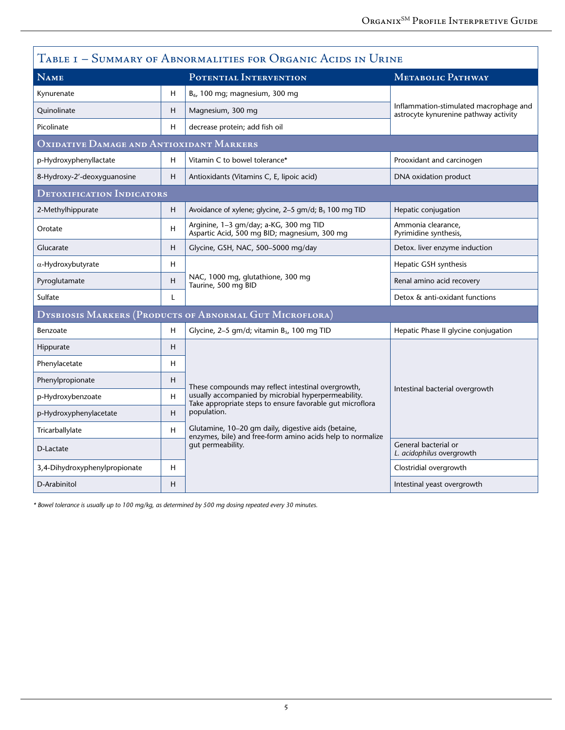| TABLE I - SUMMARY OF ABNORMALITIES FOR ORGANIC ACIDS IN URINE  |   |                                                                                                                   |                                                                                 |  |  |  |
|----------------------------------------------------------------|---|-------------------------------------------------------------------------------------------------------------------|---------------------------------------------------------------------------------|--|--|--|
| NAME                                                           |   | POTENTIAL INTERVENTION                                                                                            | METABOLIC PATHWAY                                                               |  |  |  |
| Kynurenate                                                     | Н | B <sub>6</sub> , 100 mg; magnesium, 300 mg                                                                        | Inflammation-stimulated macrophage and<br>astrocyte kynurenine pathway activity |  |  |  |
| Quinolinate                                                    | н | Magnesium, 300 mg                                                                                                 |                                                                                 |  |  |  |
| Picolinate                                                     | н | decrease protein; add fish oil                                                                                    |                                                                                 |  |  |  |
| OXIDATIVE DAMAGE AND ANTIOXIDANT MARKERS                       |   |                                                                                                                   |                                                                                 |  |  |  |
| p-Hydroxyphenyllactate                                         | H | Vitamin C to bowel tolerance*                                                                                     | Prooxidant and carcinogen                                                       |  |  |  |
| 8-Hydroxy-2'-deoxyguanosine                                    | Η | Antioxidants (Vitamins C, E, lipoic acid)                                                                         | DNA oxidation product                                                           |  |  |  |
| <b>DETOXIFICATION INDICATORS</b>                               |   |                                                                                                                   |                                                                                 |  |  |  |
| 2-Methylhippurate                                              | н | Avoidance of xylene; glycine, 2-5 gm/d; B <sub>5</sub> 100 mg TID                                                 | Hepatic conjugation                                                             |  |  |  |
| Orotate                                                        | Н | Arginine, 1-3 gm/day; a-KG, 300 mg TID<br>Aspartic Acid, 500 mg BID; magnesium, 300 mg                            | Ammonia clearance,<br>Pyrimidine synthesis,                                     |  |  |  |
| Glucarate                                                      | H | Glycine, GSH, NAC, 500-5000 mg/day                                                                                | Detox. liver enzyme induction                                                   |  |  |  |
| $\alpha$ -Hydroxybutyrate                                      | Н |                                                                                                                   | Hepatic GSH synthesis                                                           |  |  |  |
| Pyroglutamate                                                  | H | NAC, 1000 mg, glutathione, 300 mg<br>Taurine, 500 mg BID                                                          | Renal amino acid recovery                                                       |  |  |  |
| Sulfate                                                        | L |                                                                                                                   | Detox & anti-oxidant functions                                                  |  |  |  |
| <b>DYSBIOSIS MARKERS (PRODUCTS OF ABNORMAL GUT MICROFLORA)</b> |   |                                                                                                                   |                                                                                 |  |  |  |
| Benzoate                                                       | Н | Glycine, 2-5 gm/d; vitamin B <sub>5</sub> , 100 mg TID                                                            | Hepatic Phase II glycine conjugation                                            |  |  |  |
| Hippurate                                                      | н |                                                                                                                   |                                                                                 |  |  |  |
| Phenylacetate                                                  | Н |                                                                                                                   | Intestinal bacterial overgrowth                                                 |  |  |  |
| Phenylpropionate                                               | н | These compounds may reflect intestinal overgrowth,                                                                |                                                                                 |  |  |  |
| p-Hydroxybenzoate                                              | H | usually accompanied by microbial hyperpermeability.<br>Take appropriate steps to ensure favorable gut microflora  |                                                                                 |  |  |  |
| p-Hydroxyphenylacetate                                         | H | population.                                                                                                       |                                                                                 |  |  |  |
| Tricarballylate                                                | H | Glutamine, 10–20 qm daily, digestive aids (betaine,<br>enzymes, bile) and free-form amino acids help to normalize |                                                                                 |  |  |  |
| D-Lactate                                                      |   | gut permeability.                                                                                                 | General bacterial or<br>L. acidophilus overgrowth                               |  |  |  |
| 3,4-Dihydroxyphenylpropionate                                  | н |                                                                                                                   | Clostridial overgrowth                                                          |  |  |  |
| D-Arabinitol                                                   | н |                                                                                                                   | Intestinal yeast overgrowth                                                     |  |  |  |

*\* Bowel tolerance is usually up to 100 mg/kg, as determined by 500 mg dosing repeated every 30 minutes.*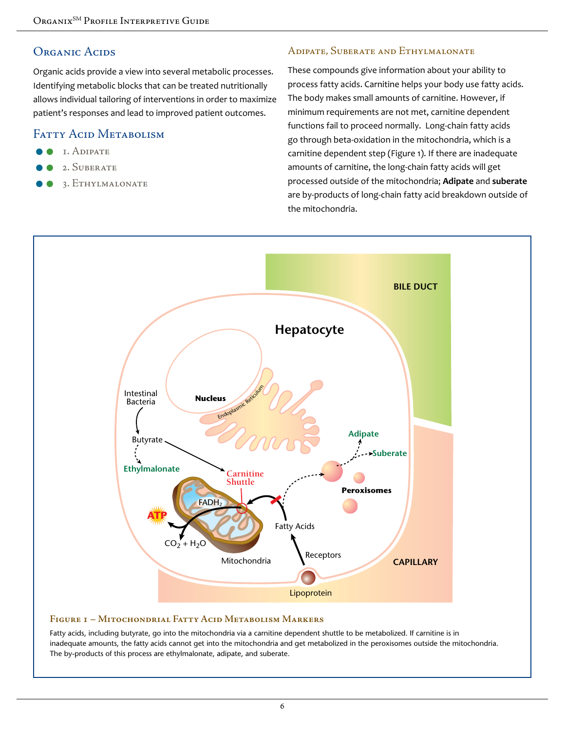#### ORGANIC ACIDS

Organic acids provide a view into several metabolic processes. Identifying metabolic blocks that can be treated nutritionally allows individual tailoring of interventions in order to maximize patient's responses and lead to improved patient outcomes.

#### FATTY ACID METABOLISM

- 1. Adipate
- 2. Suberate
- 3. Ethylmalonate

#### Adipate, Suberate and Ethylmalonate

These compounds give information about your ability to process fatty acids. Carnitine helps your body use fatty acids. The body makes small amounts of carnitine. However, if minimum requirements are not met, carnitine dependent functions fail to proceed normally. Long-chain fatty acids go through beta-oxidation in the mitochondria, which is a carnitine dependent step (Figure 1). If there are inadequate amounts of carnitine, the long-chain fatty acids will get processed outside of the mitochondria; **Adipate** and **suberate** are by-products of long-chain fatty acid breakdown outside of the mitochondria.



#### **Figure 1 – Mitochondrial Fatty Acid Metabolism Markers**

Fatty acids, including butyrate, go into the mitochondria via a carnitine dependent shuttle to be metabolized. If carnitine is in inadequate amounts, the fatty acids cannot get into the mitochondria and get metabolized in the peroxisomes outside the mitochondria. The by-products of this process are ethylmalonate, adipate, and suberate.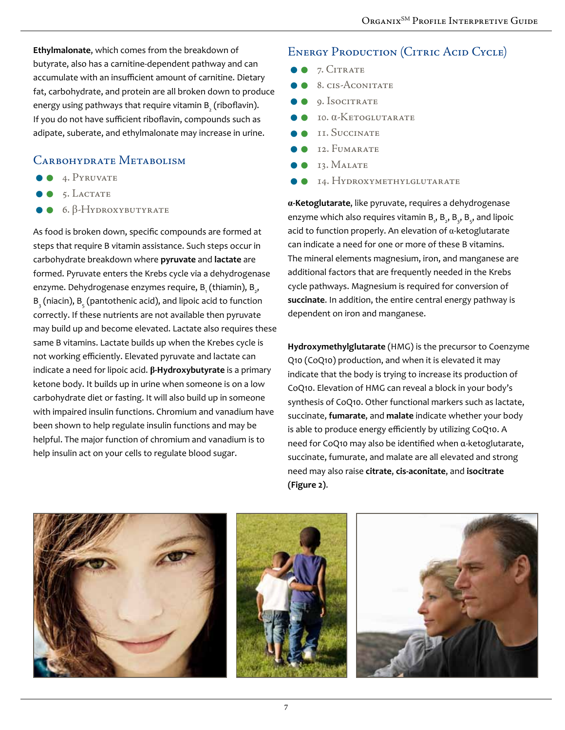**Ethylmalonate**, which comes from the breakdown of butyrate, also has a carnitine-dependent pathway and can accumulate with an insufficient amount of carnitine. Dietary fat, carbohydrate, and protein are all broken down to produce energy using pathways that require vitamin  $\mathtt{B}_\mathtt{2}^{}$  (riboflavin). If you do not have sufficient riboflavin, compounds such as adipate, suberate, and ethylmalonate may increase in urine.

### CARBOHYDRATE METABOLISM

- **4. PYRUVATE**
- $\bullet$  5. LACTATE
- $\bullet$  6.  $\beta$ -Hydroxybutyrate

As food is broken down, specific compounds are formed at steps that require B vitamin assistance. Such steps occur in carbohydrate breakdown where **pyruvate** and **lactate** are formed. Pyruvate enters the Krebs cycle via a dehydrogenase enzyme. Dehydrogenase enzymes require, B $_{_1}$ (thiamin), B $_{_2},$  $B_{\frac{1}{3}}$ (niacin),  $B_{\frac{1}{5}}$ (pantothenic acid), and lipoic acid to function correctly. If these nutrients are not available then pyruvate may build up and become elevated. Lactate also requires these same B vitamins. Lactate builds up when the Krebes cycle is not working efficiently. Elevated pyruvate and lactate can indicate a need for lipoic acid. **β-Hydroxybutyrate** is a primary ketone body. It builds up in urine when someone is on a low carbohydrate diet or fasting. It will also build up in someone with impaired insulin functions. Chromium and vanadium have been shown to help regulate insulin functions and may be helpful. The major function of chromium and vanadium is to help insulin act on your cells to regulate blood sugar.

### ENERGY PRODUCTION (CITRIC ACID CYCLE)

- $\bullet$  7. CITRATE
- 8. cis-Aconitate
- $\bullet$  9. Isocitrate
- 10. α-Ketoglutarate
- 11. Succinate
- 12. Fumarate
- 13. Malate
- 14. Hydroxymethylglutarate

**α-Ketoglutarate**, like pyruvate, requires a dehydrogenase enzyme which also requires vitamin B<sub>1</sub>, B<sub>2</sub>, B<sub>3</sub>, B<sub>5</sub>, and lipoic acid to function properly. An elevation of  $\alpha$ -ketoglutarate can indicate a need for one or more of these B vitamins. The mineral elements magnesium, iron, and manganese are additional factors that are frequently needed in the Krebs cycle pathways. Magnesium is required for conversion of **succinate**. In addition, the entire central energy pathway is dependent on iron and manganese.

**Hydroxymethylglutarate** (HMG) is the precursor to Coenzyme Q10 (CoQ10) production, and when it is elevated it may indicate that the body is trying to increase its production of CoQ10. Elevation of HMG can reveal a block in your body's synthesis of CoQ10. Other functional markers such as lactate, succinate, **fumarate**, and **malate** indicate whether your body is able to produce energy efficiently by utilizing CoQ10. A need for CoQ10 may also be identified when α-ketoglutarate, succinate, fumurate, and malate are all elevated and strong need may also raise **citrate**, **cis-aconitate**, and **isocitrate (Figure 2)**.

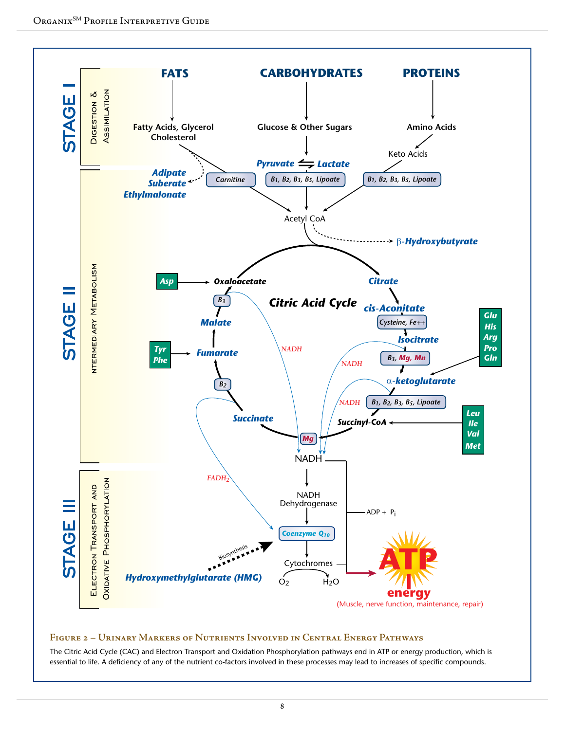

#### **Figure 2 – Urinary Markers of Nutrients Involved in Central Energy Pathways**

The Citric Acid Cycle (CAC) and Electron Transport and Oxidation Phosphorylation pathways end in ATP or energy production, which is essential to life. A deficiency of any of the nutrient co-factors involved in these processes may lead to increases of specific compounds.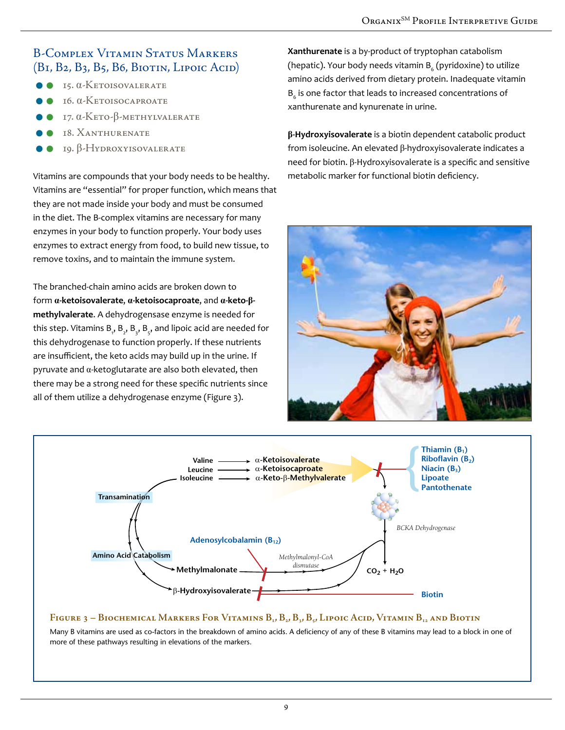### B-Complex Vitamin Status Markers  $(B<sub>I</sub>, B<sub>2</sub>, B<sub>3</sub>, B<sub>5</sub>, B<sub>6</sub>, B<sub>I</sub>O<sub>II</sub>)$  Lipoic Acid

- $\bullet$  15. α-Ketoisovalerate
- 16. α-Ketoisocaproate
- 17. α-Keto-β-methylvalerate
- 18. Xanthurenate
- 19. β-Hydroxyisovalerate

Vitamins are compounds that your body needs to be healthy. Vitamins are "essential" for proper function, which means that they are not made inside your body and must be consumed in the diet. The B-complex vitamins are necessary for many enzymes in your body to function properly. Your body uses enzymes to extract energy from food, to build new tissue, to remove toxins, and to maintain the immune system.

The branched-chain amino acids are broken down to form **α-ketoisovalerate**, **α-ketoisocaproate**, and **α-keto-βmethylvalerate**. A dehydrogensase enzyme is needed for this step. Vitamins  $\mathsf{B}_{_\mathsf{y}},\mathsf{B}_{_\mathsf{z}},\mathsf{B}_{_\mathsf{y}},$  and lipoic acid are needed for this dehydrogenase to function properly. If these nutrients are insufficient, the keto acids may build up in the urine. If pyruvate and α-ketoglutarate are also both elevated, then there may be a strong need for these specific nutrients since all of them utilize a dehydrogenase enzyme (Figure 3).

**Xanthurenate** is a by-product of tryptophan catabolism (hepatic). Your body needs vitamin  $\mathtt{B}_\epsilon$  (pyridoxine) to utilize amino acids derived from dietary protein. Inadequate vitamin  ${\tt B_6}$  is one factor that leads to increased concentrations of xanthurenate and kynurenate in urine.

**β-Hydroxyisovalerate** is a biotin dependent catabolic product from isoleucine. An elevated β-hydroxyisovalerate indicates a need for biotin. β-Hydroxyisovalerate is a specific and sensitive metabolic marker for functional biotin deficiency.





#### Figure 3 – Biochemical Markers For Vitamins B<sub>1</sub>, B<sub>2</sub>, B<sub>3</sub>, B<sub>3</sub>, Lipoic Acid, Vitamin B<sub>12</sub> and Biotin

Many B vitamins are used as co-factors in the breakdown of amino acids. A deficiency of any of these B vitamins may lead to a block in one of more of these pathways resulting in elevations of the markers.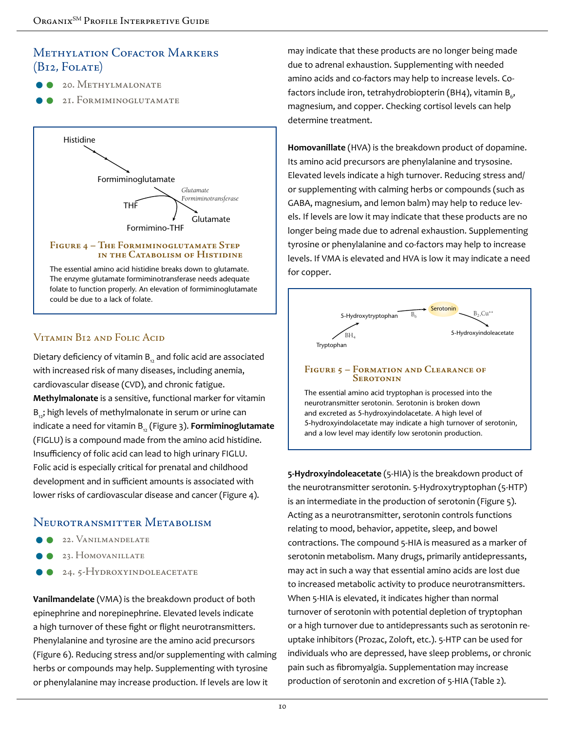# Methylation Cofactor Markers  $(BI2, FOLATE)$

- 20. Methylmalonate
- 21. Formiminoglutamate



#### **Figure 4 – The Formiminoglutamate Step in the Catabolism of Histidine**

The essential amino acid histidine breaks down to glutamate. The enzyme glutamate formiminotransferase needs adequate folate to function properly. An elevation of formiminoglutamate could be due to a lack of folate.

# Vitamin B12 and Folic Acid

Dietary deficiency of vitamin  $B_{12}$  and folic acid are associated with increased risk of many diseases, including anemia, cardiovascular disease (CVD), and chronic fatigue. **Methylmalonate** is a sensitive, functional marker for vitamin B<sub>12</sub>; high levels of methylmalonate in serum or urine can indicate a need for vitamin B<sub>2</sub> (Figure 3). **Formiminoglutamate** (FIGLU) is a compound made from the amino acid histidine. Insufficiency of folic acid can lead to high urinary FIGLU. Folic acid is especially critical for prenatal and childhood development and in sufficient amounts is associated with lower risks of cardiovascular disease and cancer (Figure 4).

# Neurotransmitter Metabolism

- 22. Vanilmandelate
- 23. Homovanillate
- 24. 5-HYDROXYINDOLEACETATE

**Vanilmandelate** (VMA) is the breakdown product of both epinephrine and norepinephrine. Elevated levels indicate a high turnover of these fight or flight neurotransmitters. Phenylalanine and tyrosine are the amino acid precursors (Figure 6). Reducing stress and/or supplementing with calming herbs or compounds may help. Supplementing with tyrosine or phenylalanine may increase production. If levels are low it

may indicate that these products are no longer being made due to adrenal exhaustion. Supplementing with needed amino acids and co-factors may help to increase levels. Cofactors include iron, tetrahydrobiopterin (BH4), vitamin B $_{\rm 6}$ , magnesium, and copper. Checking cortisol levels can help determine treatment.

**Homovanillate** (HVA) is the breakdown product of dopamine. Its amino acid precursors are phenylalanine and trysosine. Elevated levels indicate a high turnover. Reducing stress and/ or supplementing with calming herbs or compounds (such as GABA, magnesium, and lemon balm) may help to reduce levels. If levels are low it may indicate that these products are no longer being made due to adrenal exhaustion. Supplementing tyrosine or phenylalanine and co-factors may help to increase levels. If VMA is elevated and HVA is low it may indicate a need for copper.



#### **Figure 5 – Formation and Clearance of Serotonin**

The essential amino acid tryptophan is processed into the neurotransmitter serotonin. Serotonin is broken down and excreted as 5-hydroxyindolacetate. A high level of 5-hydroxyindolacetate may indicate a high turnover of serotonin, and a low level may identify low serotonin production.

**5-Hydroxyindoleacetate** (5-HIA) is the breakdown product of the neurotransmitter serotonin. 5-Hydroxytryptophan (5-HTP) is an intermediate in the production of serotonin (Figure 5). Acting as a neurotransmitter, serotonin controls functions relating to mood, behavior, appetite, sleep, and bowel contractions. The compound 5-HIA is measured as a marker of serotonin metabolism. Many drugs, primarily antidepressants, may act in such a way that essential amino acids are lost due to increased metabolic activity to produce neurotransmitters. When 5-HIA is elevated, it indicates higher than normal turnover of serotonin with potential depletion of tryptophan or a high turnover due to antidepressants such as serotonin reuptake inhibitors (Prozac, Zoloft, etc.). 5-HTP can be used for individuals who are depressed, have sleep problems, or chronic pain such as fibromyalgia. Supplementation may increase production of serotonin and excretion of 5-HIA (Table 2).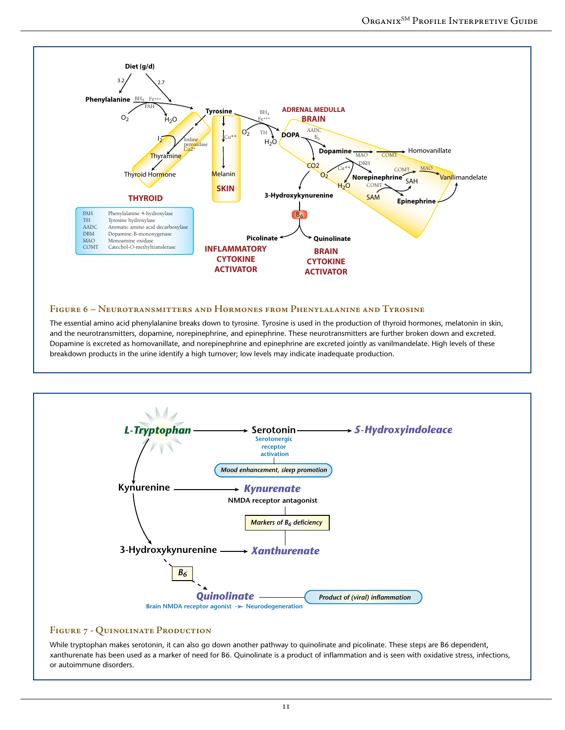

#### **Figure 6 – Neurotransmitters and Hormones from Phenylalanine and Tyrosine**

The essential amino acid phenylalanine breaks down to tyrosine. Tyrosine is used in the production of thyroid hormones, melatonin in skin, and the neurotransmitters, dopamine, norepinephrine, and epinephrine. These neurotransmitters are further broken down and excreted. Dopamine is excreted as homovanillate, and norepinephrine and epinephrine are excreted jointly as vanilmandelate. High levels of these breakdown products in the urine identify a high turnover; low levels may indicate inadequate production.



#### **Figure 7 - Quinolinate Production**

While tryptophan makes serotonin, it can also go down another pathway to quinolinate and picolinate. These steps are B6 dependent, xanthurenate has been used as a marker of need for B6. Quinolinate is a product of inflammation and is seen with oxidative stress, infections, or autoimmune disorders.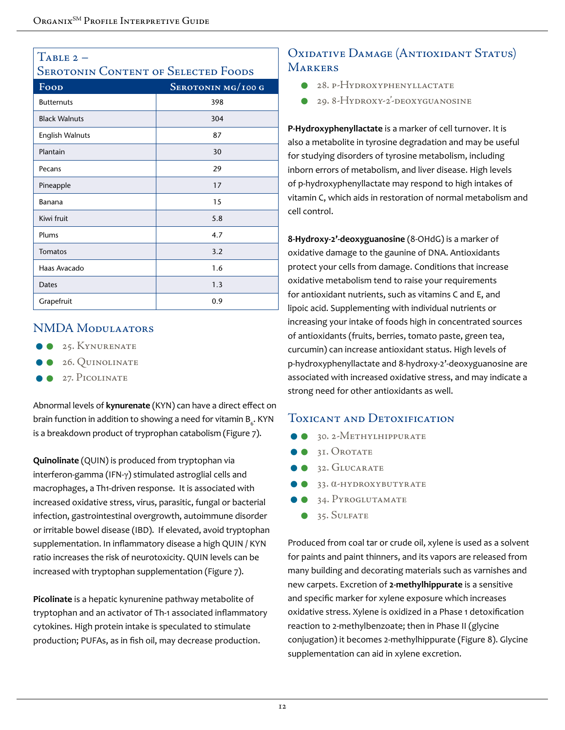# $T$ ABLE 2 –

# SEROTONIN CONTENT OF SELECTED FOODS

| Food                 | SEROTONIN MG/100 G |
|----------------------|--------------------|
| <b>Butternuts</b>    | 398                |
| <b>Black Walnuts</b> | 304                |
| English Walnuts      | 87                 |
| Plantain             | 30                 |
| Pecans               | 29                 |
| Pineapple            | 17                 |
| Banana               | 15                 |
| Kiwi fruit           | 5.8                |
| Plums                | 4.7                |
| Tomatos              | 3.2                |
| Haas Avacado         | 1.6                |
| Dates                | 1.3                |
| Grapefruit           | 0.9                |

### NMDA Modulaators

- **25. KYNURENATE**
- 26. Quinolinate
- $\bullet$  27. PICOLINATE

Abnormal levels of **kynurenate** (KYN) can have a direct effect on brain function in addition to showing a need for vitamin  $\mathtt{B}_{{\scriptscriptstyle6}}.$  KYN is a breakdown product of tryprophan catabolism (Figure 7).

**Quinolinate** (QUIN) is produced from tryptophan via interferon-gamma (IFN-γ) stimulated astroglial cells and macrophages, a Th1-driven response. It is associated with increased oxidative stress, virus, parasitic, fungal or bacterial infection, gastrointestinal overgrowth, autoimmune disorder or irritable bowel disease (IBD). If elevated, avoid tryptophan supplementation. In inflammatory disease a high QUIN / KYN ratio increases the risk of neurotoxicity. QUIN levels can be increased with tryptophan supplementation (Figure 7).

**Picolinate** is a hepatic kynurenine pathway metabolite of tryptophan and an activator of Th-1 associated inflammatory cytokines. High protein intake is speculated to stimulate production; PUFAs, as in fish oil, may decrease production.

# OXIDATIVE DAMAGE (ANTIOXIDANT STATUS) **MARKERS**

- 28. p-Hydroxyphenyllactate
- 29. 8-Hydroxy-2'-deoxyguanosine

**P-Hydroxyphenyllactate** is a marker of cell turnover. It is also a metabolite in tyrosine degradation and may be useful for studying disorders of tyrosine metabolism, including inborn errors of metabolism, and liver disease. High levels of p-hydroxyphenyllactate may respond to high intakes of vitamin C, which aids in restoration of normal metabolism and cell control.

**8-Hydroxy-2'-deoxyguanosine** (8-OHdG) is a marker of oxidative damage to the gaunine of DNA. Antioxidants protect your cells from damage. Conditions that increase oxidative metabolism tend to raise your requirements for antioxidant nutrients, such as vitamins C and E, and lipoic acid. Supplementing with individual nutrients or increasing your intake of foods high in concentrated sources of antioxidants (fruits, berries, tomato paste, green tea, curcumin) can increase antioxidant status. High levels of p-hydroxyphenyllactate and 8-hydroxy-2'-deoxyguanosine are associated with increased oxidative stress, and may indicate a strong need for other antioxidants as well.

### Toxicant and Detoxification

- <sup>30. 2-Methylhippurate</sup>
- <sup>31.</sup> OROTATE
- <sup>32</sup>. GLUCARATE
- 33. α-hydroxybutyrate
- 34. Pyroglutamate
- <sup>35</sup>. SULFATE

Produced from coal tar or crude oil, xylene is used as a solvent for paints and paint thinners, and its vapors are released from many building and decorating materials such as varnishes and new carpets. Excretion of **2-methylhippurate** is a sensitive and specific marker for xylene exposure which increases oxidative stress. Xylene is oxidized in a Phase 1 detoxification reaction to 2-methylbenzoate; then in Phase II (glycine conjugation) it becomes 2-methylhippurate (Figure 8). Glycine supplementation can aid in xylene excretion.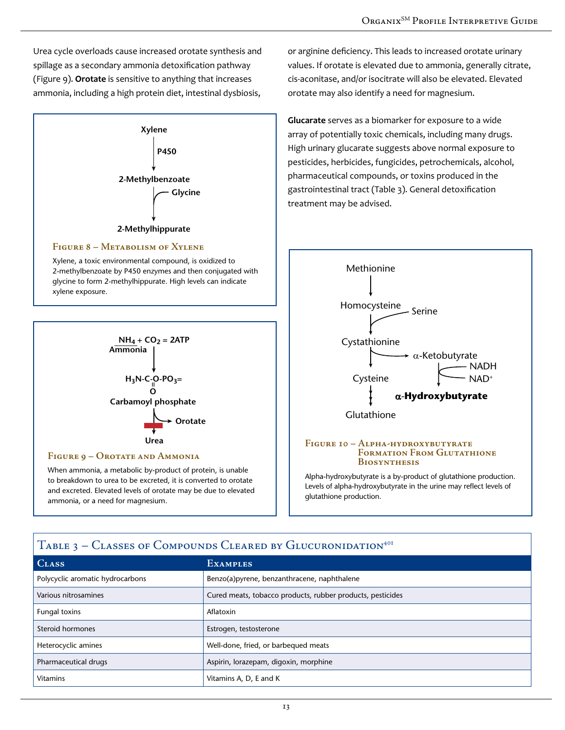Urea cycle overloads cause increased orotate synthesis and spillage as a secondary ammonia detoxification pathway (Figure 9). **Orotate** is sensitive to anything that increases ammonia, including a high protein diet, intestinal dysbiosis,



#### **Figure 8 – Metabolism of Xylene**

Xylene, a toxic environmental compound, is oxidized to 2-methylbenzoate by P450 enzymes and then conjugated with glycine to form 2-methylhippurate. High levels can indicate xylene exposure.  $\sum_{i=1}^n$ 



to breakdown to urea to be excreted, it is converted to orotate and excreted. Elevated levels of orotate may be due to elevated ammonia, or a need for magnesium.

or arginine deficiency. This leads to increased orotate urinary values. If orotate is elevated due to ammonia, generally citrate, cis-aconitase, and/or isocitrate will also be elevated. Elevated orotate may also identify a need for magnesium.

**Glucarate** serves as a biomarker for exposure to a wide array of potentially toxic chemicals, including many drugs. High urinary glucarate suggests above normal exposure to pesticides, herbicides, fungicides, petrochemicals, alcohol, pharmaceutical compounds, or toxins produced in the gastrointestinal tract (Table 3). General detoxification treatment may be advised.



Levels of alpha-hydroxybutyrate in the urine may reflect levels of glutathione production.

| <b>TABLE 3 - CLASSES OF COMPOUNDS CLEARED BY CLUCURONIDATION</b> |                                                            |  |  |  |
|------------------------------------------------------------------|------------------------------------------------------------|--|--|--|
| <b>CLASS</b>                                                     | <b>EXAMPLES</b>                                            |  |  |  |
| Polycyclic aromatic hydrocarbons                                 | Benzo(a)pyrene, benzanthracene, naphthalene                |  |  |  |
| Various nitrosamines                                             | Cured meats, tobacco products, rubber products, pesticides |  |  |  |
| Fungal toxins                                                    | Aflatoxin                                                  |  |  |  |
| Steroid hormones                                                 | Estrogen, testosterone                                     |  |  |  |
| Heterocyclic amines                                              | Well-done, fried, or barbequed meats                       |  |  |  |
| Pharmaceutical drugs                                             | Aspirin, lorazepam, digoxin, morphine                      |  |  |  |
| <b>Vitamins</b>                                                  | Vitamins A, D, E and K                                     |  |  |  |

# $T_{\rm g}$  of Compounds Circured by Glucuronidation<sup>401</sup>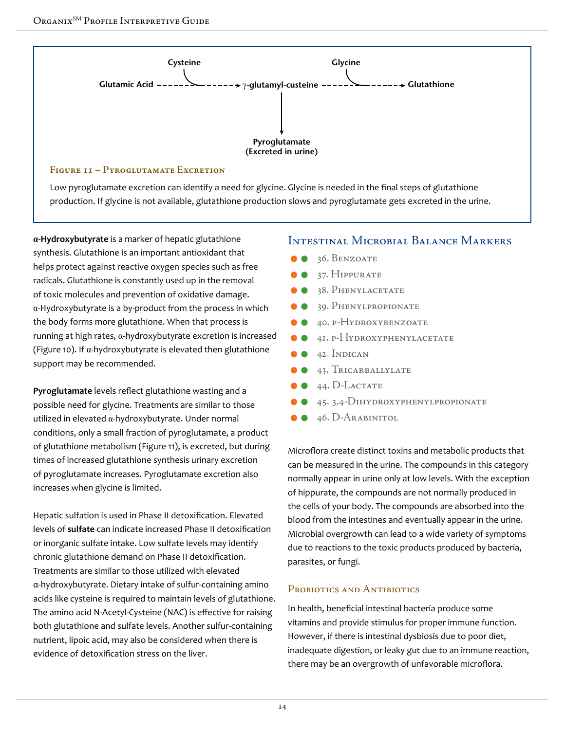

Low pyroglutamate excretion can identify a need for glycine. Glycine is needed in the final steps of glutathione production. If glycine is not available, glutathione production slows and pyroglutamate gets excreted in the urine.

**α-Hydroxybutyrate** is a marker of hepatic glutathione synthesis. Glutathione is an important antioxidant that helps protect against reactive oxygen species such as free radicals. Glutathione is constantly used up in the removal of toxic molecules and prevention of oxidative damage. α-Hydroxybutyrate is a by-product from the process in which the body forms more glutathione. When that process is running at high rates, α-hydroxybutyrate excretion is increased (Figure 10). If  $\alpha$ -hydroxybutyrate is elevated then glutathione support may be recommended.

**Pyroglutamate** levels reflect glutathione wasting and a possible need for glycine. Treatments are similar to those utilized in elevated α-hydroxybutyrate. Under normal conditions, only a small fraction of pyroglutamate, a product of glutathione metabolism (Figure 11), is excreted, but during times of increased glutathione synthesis urinary excretion of pyroglutamate increases. Pyroglutamate excretion also increases when glycine is limited.

Hepatic sulfation is used in Phase II detoxification. Elevated levels of **sulfate** can indicate increased Phase II detoxification or inorganic sulfate intake. Low sulfate levels may identify chronic glutathione demand on Phase II detoxification. Treatments are similar to those utilized with elevated α-hydroxybutyrate. Dietary intake of sulfur-containing amino acids like cysteine is required to maintain levels of glutathione. The amino acid N-Acetyl-Cysteine (NAC) is effective for raising both glutathione and sulfate levels. Another sulfur-containing nutrient, lipoic acid, may also be considered when there is evidence of detoxification stress on the liver.

#### Intestinal Microbial Balance Markers

- 36. Benzoate
- 37. Hippurate
- 38. Phenylacetate
- 39. Phenylpropionate
- 40. p-Hydroxybenzoate
- 41. p-Hydroxyphenylacetate
- 42. Indican
- 43. Tricarballylate
- 44. D-Lactate
- 45. 3,4-Dihydroxyphenylpropionate
- $\bullet$  46. D-ARABINITOL

Microflora create distinct toxins and metabolic products that can be measured in the urine. The compounds in this category normally appear in urine only at low levels. With the exception of hippurate, the compounds are not normally produced in the cells of your body. The compounds are absorbed into the blood from the intestines and eventually appear in the urine. Microbial overgrowth can lead to a wide variety of symptoms due to reactions to the toxic products produced by bacteria, parasites, or fungi.

#### PROBIOTICS AND ANTIBIOTICS

In health, beneficial intestinal bacteria produce some vitamins and provide stimulus for proper immune function. However, if there is intestinal dysbiosis due to poor diet, inadequate digestion, or leaky gut due to an immune reaction, there may be an overgrowth of unfavorable microflora.